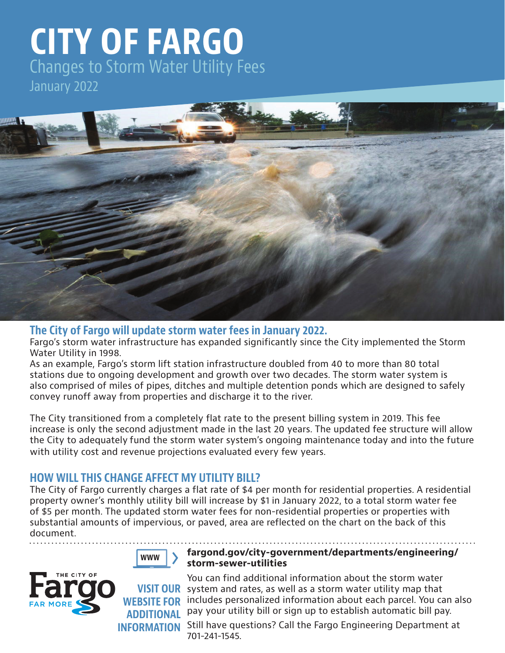# **CITY OF FARGO** Changes to Storm Water Utility Fees January 2022



#### **The City of Fargo will update storm water fees in January 2022.**

Fargo's storm water infrastructure has expanded significantly since the City implemented the Storm Water Utility in 1998.

As an example, Fargo's storm lift station infrastructure doubled from 40 to more than 80 total stations due to ongoing development and growth over two decades. The storm water system is also comprised of miles of pipes, ditches and multiple detention ponds which are designed to safely convey runoff away from properties and discharge it to the river.

The City transitioned from a completely flat rate to the present billing system in 2019. This fee increase is only the second adjustment made in the last 20 years. The updated fee structure will allow the City to adequately fund the storm water system's ongoing maintenance today and into the future with utility cost and revenue projections evaluated every few years.

#### **HOW WILL THIS CHANGE AFFECT MY UTILITY BILL?**

The City of Fargo currently charges a flat rate of \$4 per month for residential properties. A residential property owner's monthly utility bill will increase by \$1 in January 2022, to a total storm water fee of \$5 per month. The updated storm water fees for non-residential properties or properties with substantial amounts of impervious, or paved, area are reflected on the chart on the back of this document.



#### **fargond.gov/city-government/departments/engineering/ storm-sewer-utilities**



You can find additional information about the storm water **VISIT OUR** system and rates, as well as a storm water utility map that includes personalized information about each parcel. You can also pay your utility bill or sign up to establish automatic bill pay. **WEBSITE FOR ADDITIONAL** 

**INFORMATION** Still have questions? Call the Fargo Engineering Department at 701-241-1545.